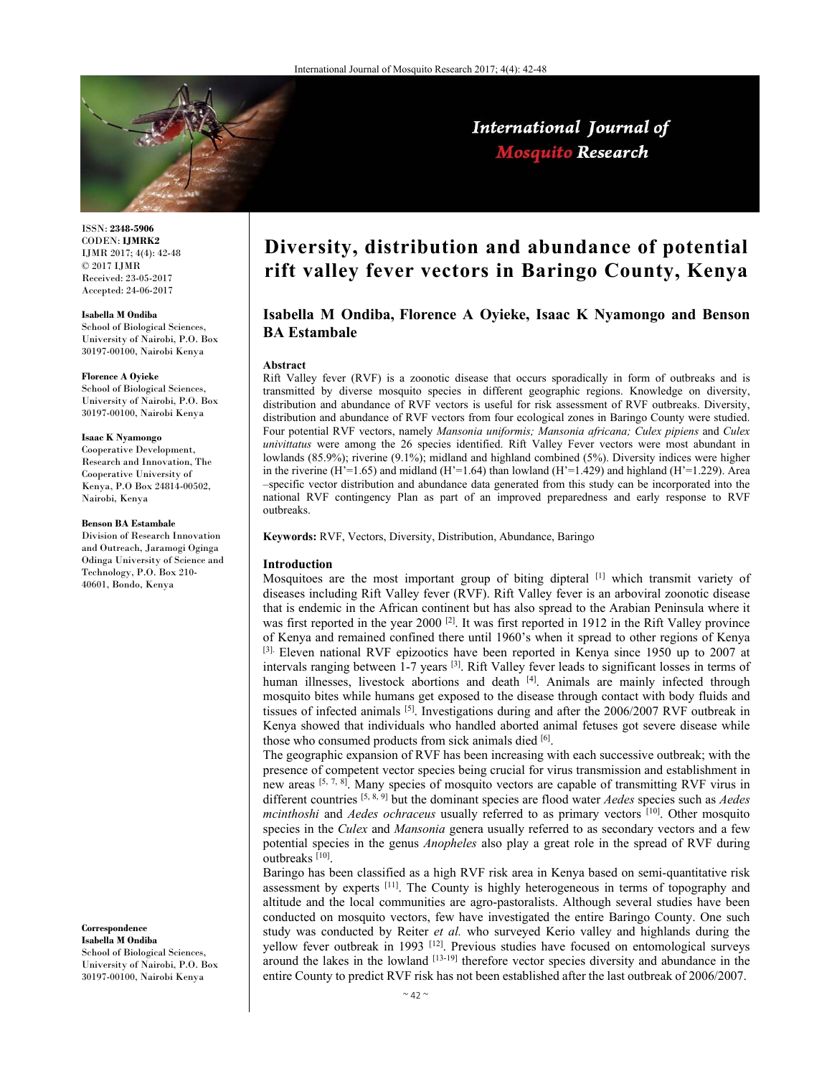

International Journal of **Mosquito Research** 

ISSN: **2348-5906** CODEN: **IJMRK2** IJMR 2017; 4(4): 42-48 © 2017 IJMR Received: 23-05-2017 Accepted: 24-06-2017

**Isabella M Ondiba** 

School of Biological Sciences, University of Nairobi, P.O. Box 30197-00100, Nairobi Kenya

#### **Florence A Oyieke**

School of Biological Sciences, University of Nairobi, P.O. Box 30197-00100, Nairobi Kenya

#### **Isaac K Nyamongo**

Cooperative Development, Research and Innovation, The Cooperative University of Kenya, P.O Box 24814-00502, Nairobi, Kenya

#### **Benson BA Estambale**

Division of Research Innovation and Outreach, Jaramogi Oginga Odinga University of Science and Technology, P.O. Box 210- 40601, Bondo, Kenya

**Correspondence Isabella M Ondiba**  School of Biological Sciences, University of Nairobi, P.O. Box 30197-00100, Nairobi Kenya

# **Diversity, distribution and abundance of potential rift valley fever vectors in Baringo County, Kenya**

# **Isabella M Ondiba, Florence A Oyieke, Isaac K Nyamongo and Benson BA Estambale**

#### **Abstract**

Rift Valley fever (RVF) is a zoonotic disease that occurs sporadically in form of outbreaks and is transmitted by diverse mosquito species in different geographic regions. Knowledge on diversity, distribution and abundance of RVF vectors is useful for risk assessment of RVF outbreaks. Diversity, distribution and abundance of RVF vectors from four ecological zones in Baringo County were studied. Four potential RVF vectors, namely *Mansonia uniformis; Mansonia africana; Culex pipiens* and *Culex univittatus* were among the 26 species identified. Rift Valley Fever vectors were most abundant in lowlands (85.9%); riverine (9.1%); midland and highland combined (5%). Diversity indices were higher in the riverine  $(H<sup>2</sup>=1.65)$  and midland  $(H<sup>2</sup>=1.64)$  than lowland  $(H<sup>2</sup>=1.429)$  and highland  $(H<sup>2</sup>=1.229)$ . Area –specific vector distribution and abundance data generated from this study can be incorporated into the national RVF contingency Plan as part of an improved preparedness and early response to RVF outbreaks.

**Keywords:** RVF, Vectors, Diversity, Distribution, Abundance, Baringo

### **Introduction**

Mosquitoes are the most important group of biting dipteral [1] which transmit variety of diseases including Rift Valley fever (RVF). Rift Valley fever is an arboviral zoonotic disease that is endemic in the African continent but has also spread to the Arabian Peninsula where it was first reported in the year 2000<sup>[2]</sup>. It was first reported in 1912 in the Rift Valley province of Kenya and remained confined there until 1960's when it spread to other regions of Kenya  $[3]$ . Eleven national RVF epizootics have been reported in Kenya since 1950 up to 2007 at intervals ranging between 1-7 years [3]. Rift Valley fever leads to significant losses in terms of human illnesses, livestock abortions and death  $[4]$ . Animals are mainly infected through mosquito bites while humans get exposed to the disease through contact with body fluids and tissues of infected animals [5]. Investigations during and after the 2006/2007 RVF outbreak in Kenya showed that individuals who handled aborted animal fetuses got severe disease while those who consumed products from sick animals died [6].

The geographic expansion of RVF has been increasing with each successive outbreak; with the presence of competent vector species being crucial for virus transmission and establishment in new areas  $[5, 7, 8]$ . Many species of mosquito vectors are capable of transmitting RVF virus in different countries [5, 8, 9] but the dominant species are flood water *Aedes* species such as *Aedes mcinthoshi* and *Aedes ochraceus* usually referred to as primary vectors [10]. Other mosquito species in the *Culex* and *Mansonia* genera usually referred to as secondary vectors and a few potential species in the genus *Anopheles* also play a great role in the spread of RVF during outbreaks [10].

Baringo has been classified as a high RVF risk area in Kenya based on semi-quantitative risk assessment by experts <sup>[11]</sup>. The County is highly heterogeneous in terms of topography and altitude and the local communities are agro-pastoralists. Although several studies have been conducted on mosquito vectors, few have investigated the entire Baringo County. One such study was conducted by Reiter *et al.* who surveyed Kerio valley and highlands during the yellow fever outbreak in 1993 [12]. Previous studies have focused on entomological surveys around the lakes in the lowland  $[13-19]$  therefore vector species diversity and abundance in the entire County to predict RVF risk has not been established after the last outbreak of 2006/2007.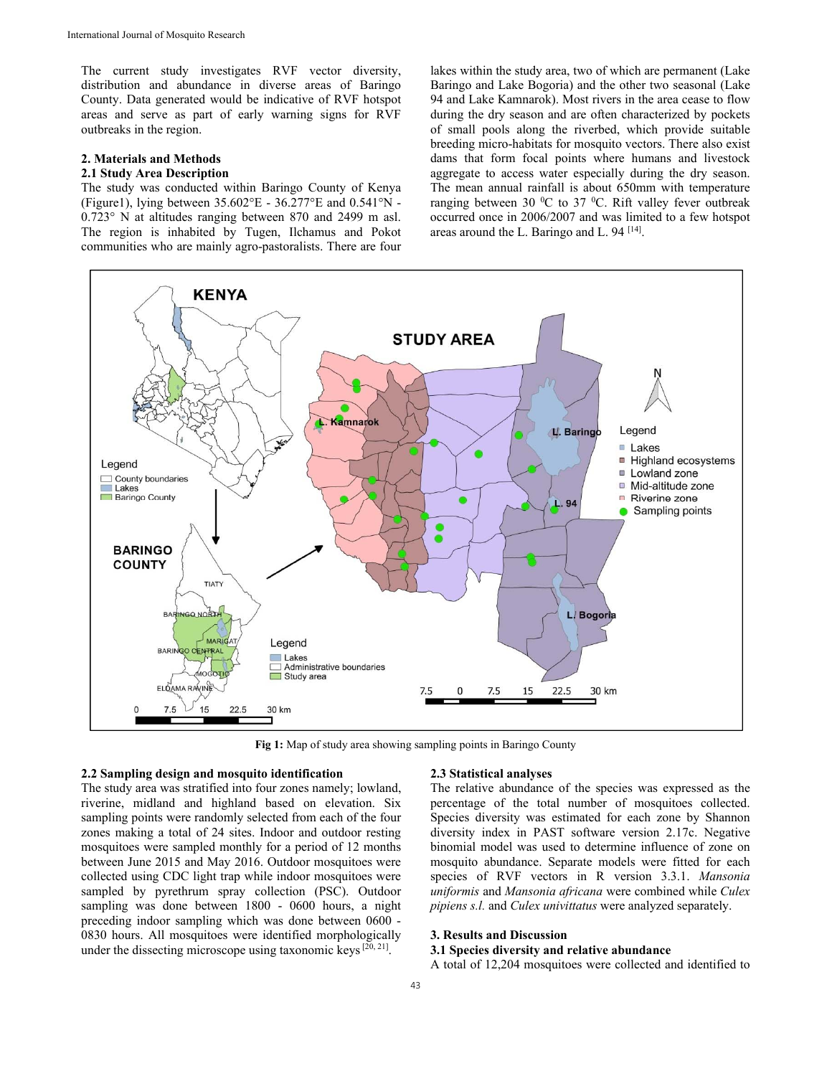The current study investigates RVF vector diversity, distribution and abundance in diverse areas of Baringo County. Data generated would be indicative of RVF hotspot areas and serve as part of early warning signs for RVF outbreaks in the region.

# **2. Materials and Methods**

# **2.1 Study Area Description**

The study was conducted within Baringo County of Kenya (Figure1), lying between 35.602°E - 36.277°E and 0.541°N - 0.723° N at altitudes ranging between 870 and 2499 m asl. The region is inhabited by Tugen, Ilchamus and Pokot communities who are mainly agro-pastoralists. There are four lakes within the study area, two of which are permanent (Lake Baringo and Lake Bogoria) and the other two seasonal (Lake 94 and Lake Kamnarok). Most rivers in the area cease to flow during the dry season and are often characterized by pockets of small pools along the riverbed, which provide suitable breeding micro-habitats for mosquito vectors. There also exist dams that form focal points where humans and livestock aggregate to access water especially during the dry season. The mean annual rainfall is about 650mm with temperature ranging between 30  $^0C$  to 37  $^0C$ . Rift valley fever outbreak occurred once in 2006/2007 and was limited to a few hotspot areas around the L. Baringo and L. 94 [14].



**Fig 1:** Map of study area showing sampling points in Baringo County

#### **2.2 Sampling design and mosquito identification**

The study area was stratified into four zones namely; lowland, riverine, midland and highland based on elevation. Six sampling points were randomly selected from each of the four zones making a total of 24 sites. Indoor and outdoor resting mosquitoes were sampled monthly for a period of 12 months between June 2015 and May 2016. Outdoor mosquitoes were collected using CDC light trap while indoor mosquitoes were sampled by pyrethrum spray collection (PSC). Outdoor sampling was done between 1800 - 0600 hours, a night preceding indoor sampling which was done between 0600 - 0830 hours. All mosquitoes were identified morphologically under the dissecting microscope using taxonomic keys  $[20, 21]$ .

#### **2.3 Statistical analyses**

The relative abundance of the species was expressed as the percentage of the total number of mosquitoes collected. Species diversity was estimated for each zone by Shannon diversity index in PAST software version 2.17c. Negative binomial model was used to determine influence of zone on mosquito abundance. Separate models were fitted for each species of RVF vectors in R version 3.3.1. *Mansonia uniformis* and *Mansonia africana* were combined while *Culex pipiens s.l.* and *Culex univittatus* were analyzed separately.

# **3. Results and Discussion**

# **3.1 Species diversity and relative abundance**

A total of 12,204 mosquitoes were collected and identified to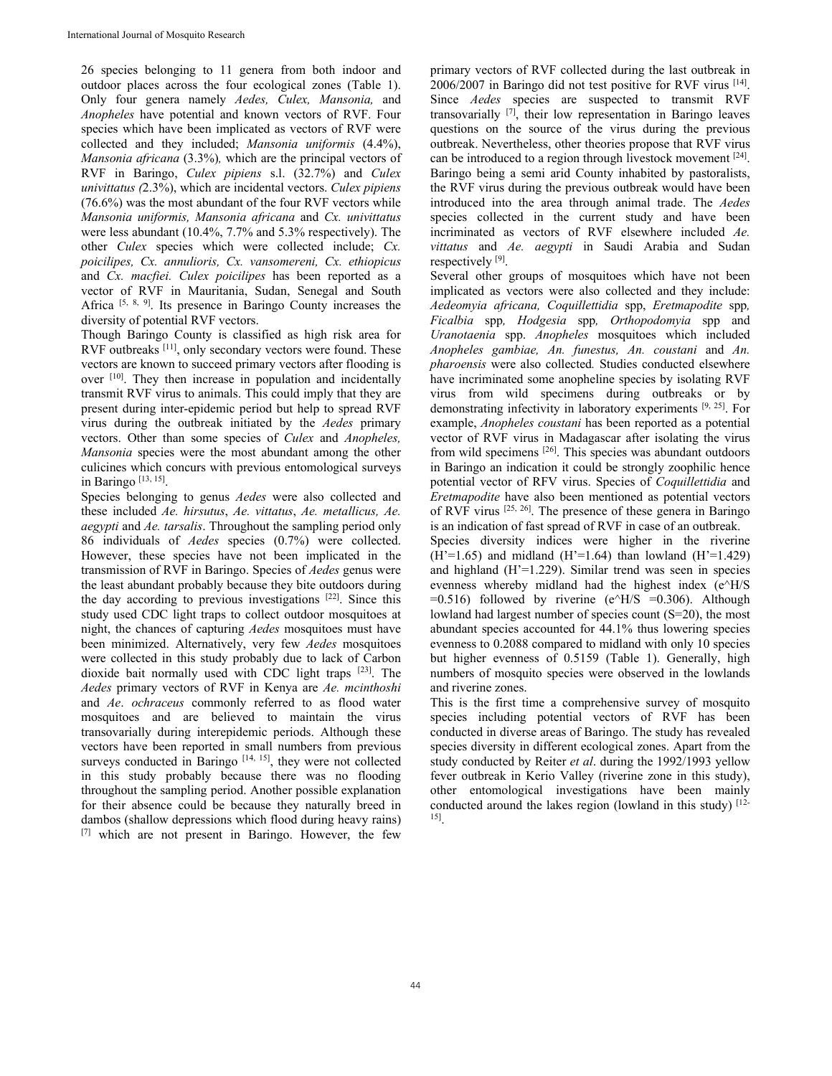26 species belonging to 11 genera from both indoor and outdoor places across the four ecological zones (Table 1). Only four genera namely *Aedes, Culex, Mansonia,* and *Anopheles* have potential and known vectors of RVF. Four species which have been implicated as vectors of RVF were collected and they included; *Mansonia uniformis* (4.4%), *Mansonia africana* (3.3%)*,* which are the principal vectors of RVF in Baringo, *Culex pipiens* s.l. (32.7%) and *Culex univittatus (*2.3%), which are incidental vectors. *Culex pipiens*  (76.6%) was the most abundant of the four RVF vectors while *Mansonia uniformis, Mansonia africana* and *Cx. univittatus* were less abundant (10.4%, 7.7% and 5.3% respectively). The other *Culex* species which were collected include; *Cx. poicilipes, Cx. annulioris, Cx. vansomereni, Cx. ethiopicus*  and *Cx. macfiei. Culex poicilipes* has been reported as a vector of RVF in Mauritania, Sudan, Senegal and South Africa [5, 8, 9]. Its presence in Baringo County increases the diversity of potential RVF vectors.

Though Baringo County is classified as high risk area for RVF outbreaks [11], only secondary vectors were found. These vectors are known to succeed primary vectors after flooding is over [10]. They then increase in population and incidentally transmit RVF virus to animals. This could imply that they are present during inter-epidemic period but help to spread RVF virus during the outbreak initiated by the *Aedes* primary vectors. Other than some species of *Culex* and *Anopheles, Mansonia* species were the most abundant among the other culicines which concurs with previous entomological surveys in Baringo  $[13, 15]$ .

Species belonging to genus *Aedes* were also collected and these included *Ae. hirsutus*, *Ae. vittatus*, *Ae. metallicus, Ae. aegypti* and *Ae. tarsalis*. Throughout the sampling period only 86 individuals of *Aedes* species (0.7%) were collected. However, these species have not been implicated in the transmission of RVF in Baringo. Species of *Aedes* genus were the least abundant probably because they bite outdoors during the day according to previous investigations [22]. Since this study used CDC light traps to collect outdoor mosquitoes at night, the chances of capturing *Aedes* mosquitoes must have been minimized. Alternatively, very few *Aedes* mosquitoes were collected in this study probably due to lack of Carbon dioxide bait normally used with CDC light traps [23]. The *Aedes* primary vectors of RVF in Kenya are *Ae. mcinthoshi* and *Ae*. *ochraceus* commonly referred to as flood water mosquitoes and are believed to maintain the virus transovarially during interepidemic periods. Although these vectors have been reported in small numbers from previous surveys conducted in Baringo [14, 15], they were not collected in this study probably because there was no flooding throughout the sampling period. Another possible explanation for their absence could be because they naturally breed in dambos (shallow depressions which flood during heavy rains) [7] which are not present in Baringo. However, the few

primary vectors of RVF collected during the last outbreak in 2006/2007 in Baringo did not test positive for RVF virus [14]. Since *Aedes* species are suspected to transmit RVF transovarially [7], their low representation in Baringo leaves questions on the source of the virus during the previous outbreak. Nevertheless, other theories propose that RVF virus can be introduced to a region through livestock movement [24]. Baringo being a semi arid County inhabited by pastoralists, the RVF virus during the previous outbreak would have been introduced into the area through animal trade. The *Aedes* species collected in the current study and have been incriminated as vectors of RVF elsewhere included *Ae. vittatus* and *Ae. aegypti* in Saudi Arabia and Sudan respectively [9].

Several other groups of mosquitoes which have not been implicated as vectors were also collected and they include: *Aedeomyia africana, Coquillettidia* spp, *Eretmapodite* spp*, Ficalbia* spp*, Hodgesia* spp*, Orthopodomyia* spp and *Uranotaenia* spp. *Anopheles* mosquitoes which included *Anopheles gambiae, An. funestus, An. coustani* and *An. pharoensis* were also collected*.* Studies conducted elsewhere have incriminated some anopheline species by isolating RVF virus from wild specimens during outbreaks or by demonstrating infectivity in laboratory experiments [9, 25]. For example, *Anopheles coustani* has been reported as a potential vector of RVF virus in Madagascar after isolating the virus from wild specimens [26]. This species was abundant outdoors in Baringo an indication it could be strongly zoophilic hence potential vector of RFV virus. Species of *Coquillettidia* and *Eretmapodite* have also been mentioned as potential vectors of RVF virus  $[25, 26]$ . The presence of these genera in Baringo is an indication of fast spread of RVF in case of an outbreak.

Species diversity indices were higher in the riverine  $(H'=1.65)$  and midland  $(H'=1.64)$  than lowland  $(H'=1.429)$ and highland  $(H'=1.229)$ . Similar trend was seen in species evenness whereby midland had the highest index (e^H/S  $=0.516$ ) followed by riverine (e^H/S  $=0.306$ ). Although lowland had largest number of species count (S=20), the most abundant species accounted for 44.1% thus lowering species evenness to 0.2088 compared to midland with only 10 species but higher evenness of 0.5159 (Table 1). Generally, high numbers of mosquito species were observed in the lowlands and riverine zones.

This is the first time a comprehensive survey of mosquito species including potential vectors of RVF has been conducted in diverse areas of Baringo. The study has revealed species diversity in different ecological zones. Apart from the study conducted by Reiter *et al*. during the 1992/1993 yellow fever outbreak in Kerio Valley (riverine zone in this study), other entomological investigations have been mainly conducted around the lakes region (lowland in this study) [12-15].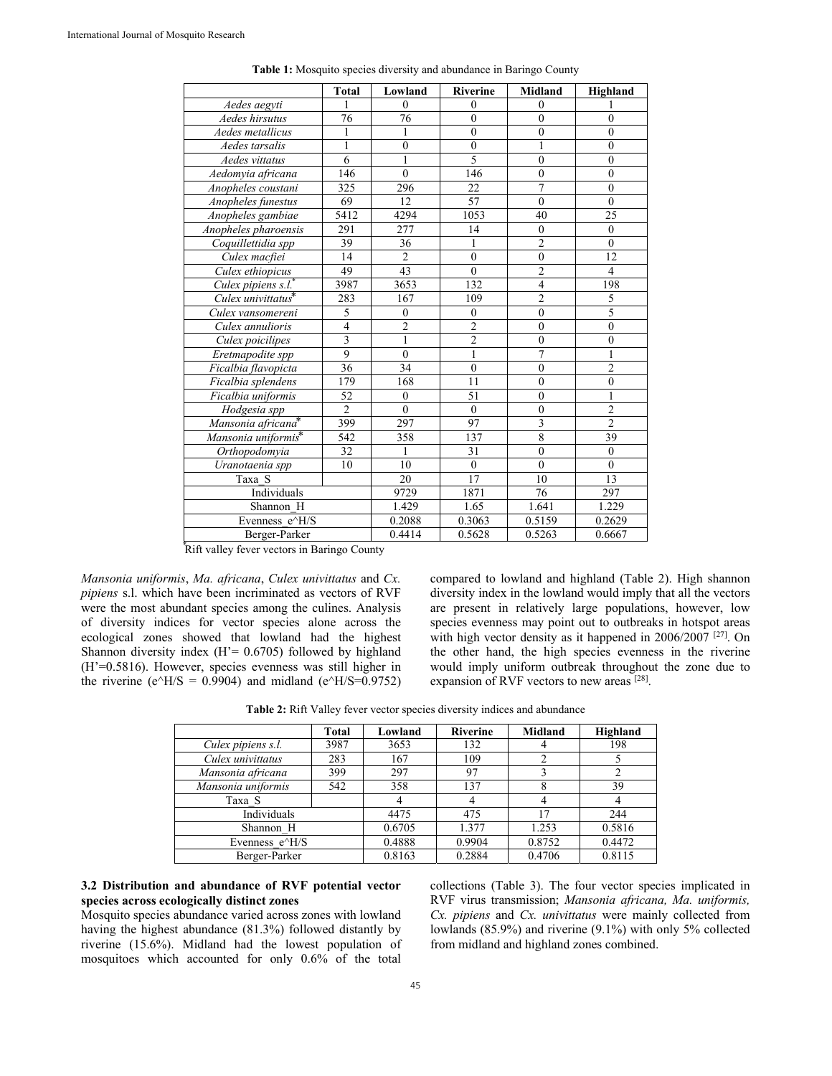|                                 | <b>Total</b>     | Lowland          | <b>Riverine</b>  | Midland                 | Highland         |
|---------------------------------|------------------|------------------|------------------|-------------------------|------------------|
| Aedes aegyti                    | 1                | $\theta$         | $\theta$         | $\theta$                |                  |
| Aedes hirsutus                  | 76               | $\overline{76}$  | $\overline{0}$   | $\overline{0}$          | $\overline{0}$   |
| Aedes metallicus                | 1                | 1                | $\overline{0}$   | $\overline{0}$          | $\theta$         |
| Aedes tarsalis                  | 1                | $\boldsymbol{0}$ | $\boldsymbol{0}$ | 1                       | $\overline{0}$   |
| Aedes vittatus                  | 6                | $\mathbf{1}$     | 5                | $\overline{0}$          | $\theta$         |
| Aedomyia africana               | 146              | $\overline{0}$   | 146              | $\overline{0}$          | $\overline{0}$   |
| Anopheles coustani              | 325              | 296              | 22               | $\overline{7}$          | $\overline{0}$   |
| Anopheles funestus              | 69               | 12               | 57               | $\theta$                | $\theta$         |
| Anopheles gambiae               | 5412             | 4294             | 1053             | 40                      | 25               |
| Anopheles pharoensis            | 291              | 277              | 14               | $\mathbf{0}$            | $\mathbf{0}$     |
| Coquillettidia spp              | 39               | 36               | $\mathbf{1}$     | $\overline{2}$          | $\mathbf{0}$     |
| Culex macfiei                   | 14               | $\overline{2}$   | $\mathbf{0}$     | $\mathbf{0}$            | 12               |
| Culex ethiopicus                | 49               | 43               | $\theta$         | $\overline{2}$          | $\overline{4}$   |
| Culex pipiens s.l.              | 3987             | 3653             | 132              | $\overline{4}$          | 198              |
| Culex univittatus*              | 283              | 167              | 109              | $\overline{2}$          | 5                |
| Culex vansomereni               | 5                | $\mathbf{0}$     | $\mathbf{0}$     | $\overline{0}$          | 5                |
| Culex annulioris                | $\overline{4}$   | $\overline{2}$   | $\overline{c}$   | $\overline{0}$          | $\theta$         |
| Culex poicilipes                |                  | $\mathbf{1}$     | $\overline{2}$   | $\mathbf{0}$            | $\boldsymbol{0}$ |
| Eretmapodite spp                | $\overline{9}$   | $\mathbf{0}$     | $\mathbf{1}$     | $\overline{7}$          | 1                |
| Ficalbia flavopicta             | $\overline{36}$  | 34               | $\overline{0}$   | $\theta$                | $\overline{2}$   |
| Ficalbia splendens              | 179              | 168              | 11               | $\overline{0}$          | $\overline{0}$   |
| Ficalbia uniformis              | 52               | $\mathbf{0}$     | 51               | $\theta$                | 1                |
| Hodgesia spp                    | $\overline{c}$   | $\mathbf{0}$     | $\mathbf{0}$     | $\mathbf{0}$            | $\overline{2}$   |
| Mansonia africana*              | 399              | 297              | 97               | $\overline{\mathbf{3}}$ | $\overline{2}$   |
| Mansonia uniformis <sup>*</sup> | $\overline{542}$ | 358              | 137              | $\overline{8}$          | 39               |
| <b>Orthopodomyia</b>            | 32               | 1                | 31               | $\mathbf{0}$            | $\mathbf{0}$     |
| $\overline{U}$ ranotaenia spp   | 10               | 10               | $\mathbf{0}$     | $\theta$                | $\theta$         |
| Taxa S                          |                  | $\overline{20}$  | 17               | 10                      | 13               |
| Individuals                     |                  | 9729             | 1871             | 76                      | 297              |
| Shannon H                       |                  | 1.429            | 1.65             | 1.641                   | 1.229            |
| Evenness e^H/S                  |                  | 0.2088           | 0.3063           | 0.5159                  | 0.2629           |
| Berger-Parker                   |                  | 0.4414           | 0.5628           | 0.5263                  | 0.6667           |

| <b>Table 1:</b> Mosquito species diversity and abundance in Baringo County |  |  |
|----------------------------------------------------------------------------|--|--|
|                                                                            |  |  |

Rift valley fever vectors in Baringo County

*Mansonia uniformis*, *Ma. africana*, *Culex univittatus* and *Cx. pipiens* s.l. which have been incriminated as vectors of RVF were the most abundant species among the culines. Analysis of diversity indices for vector species alone across the ecological zones showed that lowland had the highest Shannon diversity index  $(H' = 0.6705)$  followed by highland (H'=0.5816). However, species evenness was still higher in the riverine (e $\angle$ H/S = 0.9904) and midland (e $\angle$ H/S=0.9752) compared to lowland and highland (Table 2). High shannon diversity index in the lowland would imply that all the vectors are present in relatively large populations, however, low species evenness may point out to outbreaks in hotspot areas with high vector density as it happened in  $2006/2007$ <sup>[27]</sup>. On the other hand, the high species evenness in the riverine would imply uniform outbreak throughout the zone due to expansion of RVF vectors to new areas [28].

**Table 2:** Rift Valley fever vector species diversity indices and abundance

|                    | Total | Lowland | <b>Riverine</b> | <b>Midland</b> | Highland |
|--------------------|-------|---------|-----------------|----------------|----------|
| Culex pipiens s.l. | 3987  | 3653    | 132             |                | 198      |
| Culex univittatus  | 283   | 167     | 109             |                |          |
| Mansonia africana  | 399   | 297     | 97              |                |          |
| Mansonia uniformis | 542   | 358     | 137             |                | 39       |
| Taxa S             |       |         |                 |                |          |
| Individuals        |       | 4475    | 475             |                | 244      |
| Shannon H          |       | 0.6705  | 1.377           | 1.253          | 0.5816   |
| Evenness e^H/S     |       | 0.4888  | 0.9904          | 0.8752         | 0.4472   |
| Berger-Parker      |       | 0.8163  | 0.2884          | 0.4706         | 0.8115   |

## **3.2 Distribution and abundance of RVF potential vector species across ecologically distinct zones**

Mosquito species abundance varied across zones with lowland having the highest abundance (81.3%) followed distantly by riverine (15.6%). Midland had the lowest population of mosquitoes which accounted for only 0.6% of the total

collections (Table 3). The four vector species implicated in RVF virus transmission; *Mansonia africana, Ma. uniformis, Cx. pipiens* and *Cx. univittatus* were mainly collected from lowlands (85.9%) and riverine (9.1%) with only 5% collected from midland and highland zones combined.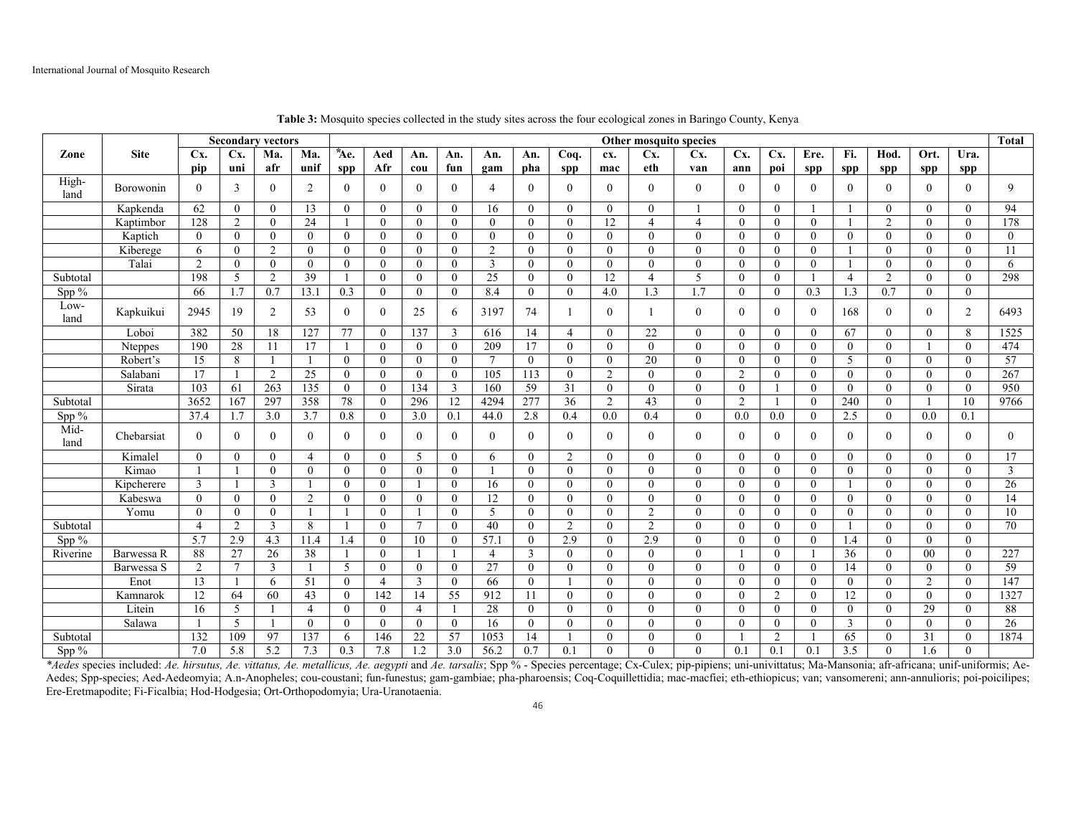|              |             |                |                | <b>Secondary vectors</b> |                | Other mosquito species |                |                 |                |                |                |                |                | <b>Total</b>   |                |                |                |                |                 |                |                |              |                |
|--------------|-------------|----------------|----------------|--------------------------|----------------|------------------------|----------------|-----------------|----------------|----------------|----------------|----------------|----------------|----------------|----------------|----------------|----------------|----------------|-----------------|----------------|----------------|--------------|----------------|
| Zone         | <b>Site</b> | Cx.            | Cx.            | Ma.                      | Ma.            | *Ae.                   | Aed            | An.             | An.            | An.            | An.            | Coq.           | cx.            | Cx.            | Cx.            | Cx.            | Cx.            | Ere.           | Fi.             | Hod.           | Ort.           | Ura.         |                |
|              |             | pip            | uni            | afr                      | unif           | spp                    | Afr            | cou             | fun            | gam            | pha            | spp            | mac            | eth            | van            | ann            | poi            | spp            | spp             | spp            | <b>SDD</b>     | spp          |                |
| High-        | Borowonin   | $\theta$       | 3              | $\overline{0}$           | 2              | $\Omega$               | $\theta$       | $\overline{0}$  | $\overline{0}$ | $\overline{4}$ | $\theta$       | $\Omega$       | $\theta$       | $\theta$       | $\mathbf{0}$   | $\theta$       | $\overline{0}$ | $\overline{0}$ | $\theta$        | $\theta$       | $\theta$       | $\theta$     | 9              |
| land         |             |                |                |                          |                |                        |                |                 |                |                |                |                |                |                |                |                |                |                |                 |                |                |              |                |
|              | Kapkenda    | 62             | $\overline{0}$ | $\overline{0}$           | 13             | $\overline{0}$         | $\theta$       | $\overline{0}$  | $\overline{0}$ | 16             | $\theta$       | $\theta$       | $\theta$       | $\theta$       |                | $\theta$       | $\theta$       |                |                 | $\Omega$       | $\theta$       | $\theta$     | 94             |
|              | Kaptimbor   | 128            | $\overline{2}$ | $\theta$                 | 24             |                        | $\theta$       | $\theta$        | $\theta$       | $\Omega$       | $\theta$       | $\theta$       | 12             | $\Delta$       | $\overline{4}$ | $\theta$       | $\theta$       | $\theta$       |                 | $\mathfrak{D}$ | $\theta$       | $\theta$     | 178            |
|              | Kaptich     | $\theta$       | $\theta$       | $\theta$                 | $\overline{0}$ | $\mathbf{0}$           | $\theta$       | $\theta$        | $\theta$       | $\mathbf{0}$   | $\Omega$       | $\Omega$       | $\Omega$       | $\Omega$       | $\theta$       | $\theta$       | $\theta$       | $\theta$       | $\Omega$        | $\Omega$       | $\Omega$       | $\Omega$     | $\theta$       |
|              | Kiberege    | 6              | $\mathbf{0}$   | $\overline{2}$           | $\overline{0}$ | $\overline{0}$         | $\mathbf{0}$   | $\mathbf{0}$    | $\mathbf{0}$   | $\overline{2}$ | $\theta$       | $\theta$       | $\Omega$       | $\theta$       | $\theta$       | $\theta$       | $\overline{0}$ | $\mathbf{0}$   |                 | $\Omega$       | $\theta$       | $\theta$     | 11             |
|              | Talai       | 2              | $\theta$       | $\theta$                 | $\theta$       | $\theta$               | $\theta$       | $\theta$        | $\theta$       | 3              | $\Omega$       | $\theta$       | $\theta$       | $\theta$       | $\theta$       | $\theta$       | $\theta$       | $\theta$       |                 | $\theta$       | $\theta$       | $\theta$     | 6              |
| Subtotal     |             | 198            | 5              | 2                        | 39             |                        | $\theta$       | $\theta$        | $\theta$       | 25             | $\Omega$       | $\theta$       | 12             | $\overline{4}$ | 5              | $\Omega$       | $\theta$       |                | $\overline{4}$  | $\overline{2}$ | $\Omega$       | $\Omega$     | 298            |
| Spp %        |             | 66             | 1.7            | 0.7                      | 13.1           | 0.3                    | $\mathbf{0}$   | $\theta$        | $\theta$       | 8.4            | $\Omega$       | $\theta$       | 4.0            | 1.3            | 1.7            | $\theta$       | $\theta$       | 0.3            | 1.3             | 0.7            | $\theta$       | $\theta$     |                |
| Low-         | Kapkuikui   | 2945           | 19             | 2                        | 53             | $\overline{0}$         | $\mathbf{0}$   | 25              | 6              | 3197           | 74             |                | $\theta$       |                | $\overline{0}$ | $\theta$       | $\overline{0}$ | $\mathbf{0}$   | 168             | $\overline{0}$ | $\theta$       | 2            | 6493           |
| land         |             |                |                |                          |                |                        |                |                 |                |                |                |                |                |                |                |                |                |                |                 |                |                |              |                |
|              | Loboi       | 382            | 50             | 18                       | 127            | 77                     | $\mathbf{0}$   | 137             | $\overline{3}$ | 616            | 14             | $\overline{4}$ | $\Omega$       | 22             | $\theta$       | $\theta$       | $\theta$       | $\mathbf{0}$   | 67              | $\Omega$       | $\theta$       | 8            | 1525           |
|              | Nteppes     | 190            | 28             | 11                       | 17             |                        | $\overline{0}$ | $\theta$        | $\mathbf{0}$   | 209            | 17             | $\theta$       | $\Omega$       | $\Omega$       | $\theta$       | $\theta$       | $\theta$       | $\Omega$       | $\theta$        | $\Omega$       |                | $\Omega$     | 474            |
|              | Robert's    | 15             | 8              |                          |                | $\theta$               | $\mathbf{0}$   | $\overline{0}$  | $\mathbf{0}$   | $\overline{7}$ | $\overline{0}$ | $\theta$       | $\Omega$       | 20             | $\mathbf{0}$   | $\theta$       | $\theta$       | $\mathbf{0}$   | 5               | $\theta$       | $\theta$       | $\Omega$     | 57             |
|              | Salabani    | 17             |                | 2                        | 25             | $\theta$               | $\theta$       | $\theta$        | $\theta$       | 105            | 113            | $\theta$       | 2              | $\Omega$       | $\theta$       | 2              | $\Omega$       | $\theta$       | $\Omega$        | $\Omega$       | $\theta$       | $\Omega$     | 267            |
|              | Sirata      | 103            | 61             | 263                      | 135            | $\theta$               | $\theta$       | 134             | 3              | 160            | 59             | 31             | $\theta$       | $\theta$       | $\theta$       | $\theta$       |                | $\theta$       | $\theta$        | $\Omega$       | $\theta$       | $\Omega$     | 950            |
| Subtotal     |             | 3652           | 167            | 297                      | 358            | 78                     | $\overline{0}$ | 296             | 12             | 4294           | 277            | 36             | $\overline{2}$ | 43             | $\mathbf{0}$   | $\overline{2}$ | $\mathbf{1}$   | $\mathbf{0}$   | 240             | $\mathbf{0}$   |                | 10           | 9766           |
| Spp %        |             | 37.4           | 1.7            | 3.0                      | 3.7            | 0.8                    | $\mathbf{0}$   | 3.0             | 0.1            | 44.0           | 2.8            | 0.4            | 0.0            | 0.4            | $\mathbf{0}$   | 0.0            | 0.0            | $\theta$       | 2.5             | $\Omega$       | 0.0            | 0.1          |                |
| Mid-<br>land | Chebarsiat  | $\theta$       | $\theta$       | $\mathbf{0}$             | $\mathbf{0}$   | $\overline{0}$         | $\mathbf{0}$   | $\mathbf{0}$    | $\mathbf{0}$   | $\overline{0}$ | $\Omega$       | $\theta$       | $\Omega$       | $\theta$       | $\mathbf{0}$   | $\theta$       | $\mathbf{0}$   | $\overline{0}$ | $\Omega$        | $\Omega$       | $\theta$       | $\theta$     | $\overline{0}$ |
|              | Kimalel     | $\theta$       | $\mathbf{0}$   | $\theta$                 | 4              | $\overline{0}$         | $\mathbf{0}$   | 5               | $\mathbf{0}$   | 6              | $\Omega$       | 2              | $\theta$       | $\theta$       | $\mathbf{0}$   | $\mathbf{0}$   | $\Omega$       | $\mathbf{0}$   | $\Omega$        | $\theta$       | $\theta$       | $\Omega$     | 17             |
|              | Kimao       |                |                | $\theta$                 | $\overline{0}$ | $\overline{0}$         | $\theta$       | $\theta$        | $\theta$       |                | $\Omega$       | $\theta$       | $\theta$       | $\theta$       | $\theta$       | $\theta$       | $\theta$       | $\theta$       | $\theta$        | $\Omega$       | $\theta$       | $\Omega$     | $\overline{3}$ |
|              | Kipcherere  | 3              |                | 3                        | -1             | $\overline{0}$         | $\theta$       |                 | $\overline{0}$ | 16             | $\theta$       | $\theta$       | $\Omega$       | $\theta$       | $\theta$       | $\theta$       | $\theta$       | $\mathbf{0}$   |                 | $\Omega$       | $\theta$       | $\theta$     | 26             |
|              | Kabeswa     | $\theta$       | $\overline{0}$ | $\mathbf{0}$             | 2              | $\overline{0}$         | $\mathbf{0}$   | $\overline{0}$  | $\mathbf{0}$   | 12             | $\Omega$       | $\theta$       | $\theta$       | $\mathbf{0}$   | $\mathbf{0}$   | $\mathbf{0}$   | $\theta$       | $\overline{0}$ | $\Omega$        | $\Omega$       | $\theta$       | $\theta$     | 14             |
|              | Yomu        | $\Omega$       | $\theta$       | $\theta$                 | $\overline{1}$ |                        | $\theta$       |                 | $\theta$       | 5              | $\Omega$       | $\theta$       | $\theta$       | 2              | $\theta$       | $\theta$       | $\theta$       | $\theta$       | $\Omega$        | $\Omega$       | $\theta$       | $\theta$     | 10             |
| Subtotal     |             | $\overline{4}$ | $\overline{2}$ | 3                        | 8              |                        | $\theta$       | $7\phantom{.0}$ | $\mathbf{0}$   | 40             | $\Omega$       | $\overline{2}$ | $\Omega$       | 2              | $\theta$       | $\mathbf{0}$   | $\theta$       | $\overline{0}$ |                 | $\Omega$       | $\theta$       | $\theta$     | 70             |
| Spp %        |             | 5.7            | 2.9            | 4.3                      | 11.4           | 1.4                    | $\overline{0}$ | 10              | $\overline{0}$ | 57.1           | $\theta$       | 2.9            | $\Omega$       | 2.9            | $\theta$       | $\mathbf{0}$   | $\theta$       | $\overline{0}$ | 1.4             | $\Omega$       | $\Omega$       | $\Omega$     |                |
| Riverine     | Barwessa R  | 88             | 27             | 26                       | 38             |                        | $\theta$       |                 |                | $\overline{4}$ | 3              | $\Omega$       | $\Omega$       | $\Omega$       | $\theta$       |                | $\Omega$       |                | $\overline{36}$ | 0              | 00             | $\theta$     | 227            |
|              | Barwessa S  | 2              | $\overline{7}$ | 3                        | $\overline{1}$ | 5                      | $\Omega$       | $\theta$        | $\theta$       | 27             | $\Omega$       | $\Omega$       | $\Omega$       | $\Omega$       | $\theta$       | $\Omega$       | $\theta$       | $\theta$       | 14              | $\Omega$       | $\theta$       | $\Omega$     | 59             |
|              | Enot        | 13             |                | 6                        | 51             | $\theta$               | $\overline{A}$ | 3               | $\mathbf{0}$   | 66             | $\Omega$       |                | $\Omega$       | $\Omega$       | $\theta$       | $\theta$       | $\theta$       | $\overline{0}$ | $\Omega$        | $\Omega$       | $\overline{2}$ | $\theta$     | 147            |
|              | Kamnarok    | 12             | 64             | 60                       | 43             | $\theta$               | 142            | 14              | 55             | 912            | 11             | $\theta$       | $\theta$       | $\Omega$       | $\theta$       | $\theta$       | $\overline{2}$ | $\theta$       | 12              | $\Omega$       | $\theta$       | $\theta$     | 1327           |
|              | Litein      | 16             | 5              |                          | $\overline{4}$ | $\Omega$               | $\theta$       | $\overline{4}$  |                | 28             | $\theta$       | $\Omega$       | $\Omega$       | $\Omega$       | $\theta$       | $\Omega$       | $\theta$       | $\theta$       | $\Omega$        | $\Omega$       | 29             | $\Omega$     | 88             |
|              | Salawa      |                | 5              |                          | $\overline{0}$ | $\mathbf{0}$           | $\mathbf{0}$   | $\overline{0}$  | $\mathbf{0}$   | 16             | $\theta$       | $\theta$       | $\theta$       | $\theta$       | $\theta$       | $\theta$       | $\mathbf{0}$   | $\mathbf{0}$   | 3               | $\Omega$       | $\theta$       | $\theta$     | 26             |
| Subtotal     |             | 132            | 109            | 97                       | 137            | 6                      | 146            | 22              | 57             | 1053           | 14             |                | $\theta$       | $\theta$       | $\theta$       |                | $\overline{2}$ |                | 65              | $\Omega$       | 31             | $\mathbf{0}$ | 1874           |
| Spp $%$      |             | 7.0            | 5.8            | 5.2                      | 7.3            | 0.3                    | 7.8            | 1.2             | 3.0            | 56.2           | 0.7            | 0.1            | $\Omega$       | $\Omega$       | $\theta$       | 0.1            | 0.1            | 0.1            | 3.5             | $\Omega$       | 1.6            | $\Omega$     |                |

**Table 3:** Mosquito species collected in the study sites across the four ecological zones in Baringo County, Kenya

\*Aedes species included: Ae. hirsutus, Ae. vittatus, Ae. metallicus, Ae. aegypti and Ae. tarsalis; Spp % - Species percentage; Cx-Culex; pip-pipiens; uni-univittatus; Ma-Mansonia; afr-africana; unif-uniformis; Ae-Aedes; Spp-species; Aed-Aedeomyia; A.n-Anopheles; cou-coustani; fun-funestus; gam-gambiae; pha-pharoensis; Coq-Coquillettidia; mac-macfiei; eth-ethiopicus; van; vansomereni; ann-annulioris; poi-poicilipes; Ere-Eretmapodite; Fi-Ficalbia; Hod-Hodgesia; Ort-Orthopodomyia; Ura-Uranotaenia.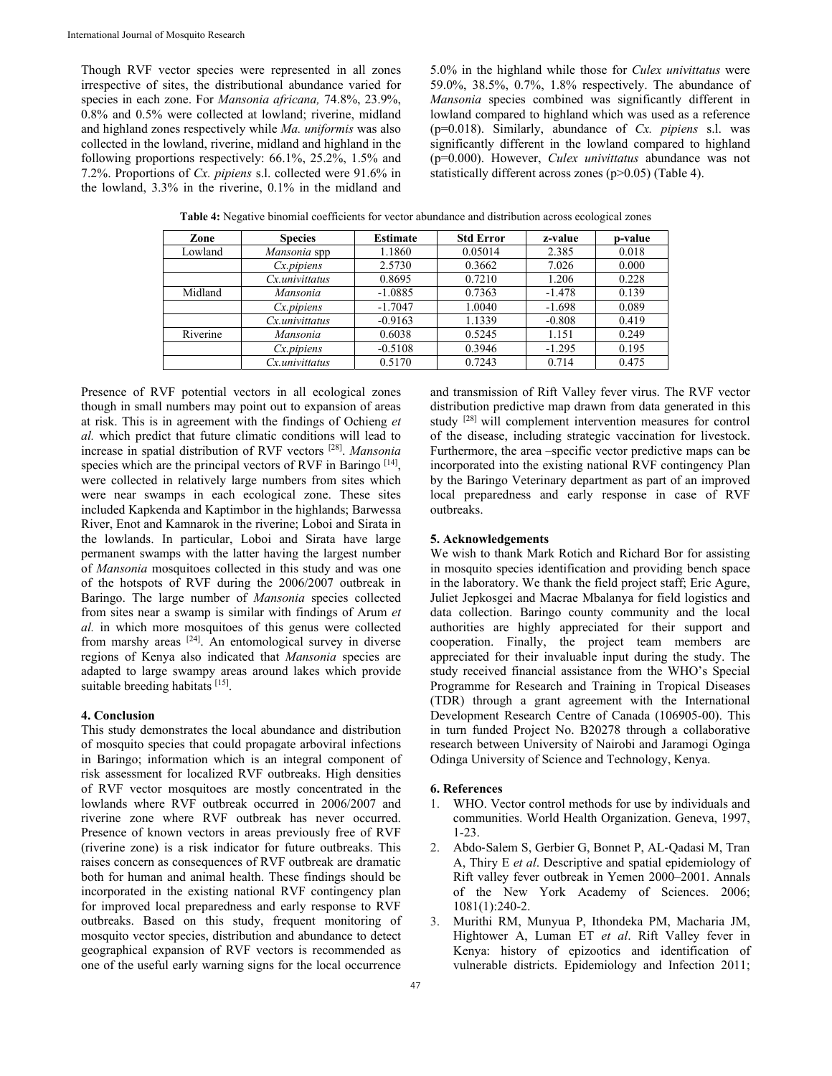Though RVF vector species were represented in all zones irrespective of sites, the distributional abundance varied for species in each zone. For *Mansonia africana,* 74.8%, 23.9%, 0.8% and 0.5% were collected at lowland; riverine, midland and highland zones respectively while *Ma. uniformis* was also collected in the lowland, riverine, midland and highland in the following proportions respectively: 66.1%, 25.2%, 1.5% and 7.2%. Proportions of *Cx. pipiens* s.l. collected were 91.6% in the lowland, 3.3% in the riverine, 0.1% in the midland and 5.0% in the highland while those for *Culex univittatus* were 59.0%, 38.5%, 0.7%, 1.8% respectively. The abundance of *Mansonia* species combined was significantly different in lowland compared to highland which was used as a reference (p=0.018). Similarly, abundance of *Cx. pipiens* s.l. was significantly different in the lowland compared to highland (p=0.000). However, *Culex univittatus* abundance was not statistically different across zones (p>0.05) (Table 4).

| Zone     | <b>Species</b>  | <b>Estimate</b> | <b>Std Error</b> | z-value  | p-value |
|----------|-----------------|-----------------|------------------|----------|---------|
| Lowland  | Mansonia spp    | 1.1860          | 0.05014          | 2.385    | 0.018   |
|          | $Cx$ . pipiens  | 2.5730          | 0.3662           | 7.026    | 0.000   |
|          | Cx.univittatus  | 0.8695          | 0.7210           | 1.206    | 0.228   |
| Midland  | Mansonia        | $-1.0885$       | 0.7363           | $-1.478$ | 0.139   |
|          | $Cx$ . pipiens  | $-1.7047$       | 1.0040           | $-1.698$ | 0.089   |
|          | $Cx$ univitatus | $-0.9163$       | 1.1339           | $-0.808$ | 0.419   |
| Riverine | Mansonia        | 0.6038          | 0.5245           | 1.151    | 0.249   |
|          | $Cx$ . pipiens  | $-0.5108$       | 0.3946           | $-1.295$ | 0.195   |
|          | Cx.univittatus  | 0.5170          | 0.7243           | 0.714    | 0.475   |

**Table 4:** Negative binomial coefficients for vector abundance and distribution across ecological zones

Presence of RVF potential vectors in all ecological zones though in small numbers may point out to expansion of areas at risk. This is in agreement with the findings of Ochieng *et al.* which predict that future climatic conditions will lead to increase in spatial distribution of RVF vectors [28]. *Mansonia* species which are the principal vectors of RVF in Baringo [14], were collected in relatively large numbers from sites which were near swamps in each ecological zone. These sites included Kapkenda and Kaptimbor in the highlands; Barwessa River, Enot and Kamnarok in the riverine; Loboi and Sirata in the lowlands. In particular, Loboi and Sirata have large permanent swamps with the latter having the largest number of *Mansonia* mosquitoes collected in this study and was one of the hotspots of RVF during the 2006/2007 outbreak in Baringo. The large number of *Mansonia* species collected from sites near a swamp is similar with findings of Arum *et al.* in which more mosquitoes of this genus were collected from marshy areas [24]. An entomological survey in diverse regions of Kenya also indicated that *Mansonia* species are adapted to large swampy areas around lakes which provide suitable breeding habitats [15].

# **4. Conclusion**

This study demonstrates the local abundance and distribution of mosquito species that could propagate arboviral infections in Baringo; information which is an integral component of risk assessment for localized RVF outbreaks. High densities of RVF vector mosquitoes are mostly concentrated in the lowlands where RVF outbreak occurred in 2006/2007 and riverine zone where RVF outbreak has never occurred. Presence of known vectors in areas previously free of RVF (riverine zone) is a risk indicator for future outbreaks. This raises concern as consequences of RVF outbreak are dramatic both for human and animal health. These findings should be incorporated in the existing national RVF contingency plan for improved local preparedness and early response to RVF outbreaks. Based on this study, frequent monitoring of mosquito vector species, distribution and abundance to detect geographical expansion of RVF vectors is recommended as one of the useful early warning signs for the local occurrence

and transmission of Rift Valley fever virus. The RVF vector distribution predictive map drawn from data generated in this study [28] will complement intervention measures for control of the disease, including strategic vaccination for livestock. Furthermore, the area –specific vector predictive maps can be incorporated into the existing national RVF contingency Plan by the Baringo Veterinary department as part of an improved local preparedness and early response in case of RVF outbreaks.

# **5. Acknowledgements**

We wish to thank Mark Rotich and Richard Bor for assisting in mosquito species identification and providing bench space in the laboratory. We thank the field project staff; Eric Agure, Juliet Jepkosgei and Macrae Mbalanya for field logistics and data collection. Baringo county community and the local authorities are highly appreciated for their support and cooperation. Finally, the project team members are appreciated for their invaluable input during the study. The study received financial assistance from the WHO's Special Programme for Research and Training in Tropical Diseases (TDR) through a grant agreement with the International Development Research Centre of Canada (106905-00). This in turn funded Project No. B20278 through a collaborative research between University of Nairobi and Jaramogi Oginga Odinga University of Science and Technology, Kenya.

#### **6. References**

- 1. WHO. Vector control methods for use by individuals and communities. World Health Organization. Geneva, 1997, 1-23.
- 2. Abdo‐Salem S, Gerbier G, Bonnet P, AL‐Qadasi M, Tran A, Thiry E *et al*. Descriptive and spatial epidemiology of Rift valley fever outbreak in Yemen 2000–2001. Annals of the New York Academy of Sciences. 2006; 1081(1):240-2.
- 3. Murithi RM, Munyua P, Ithondeka PM, Macharia JM, Hightower A, Luman ET *et al*. Rift Valley fever in Kenya: history of epizootics and identification of vulnerable districts. Epidemiology and Infection 2011;